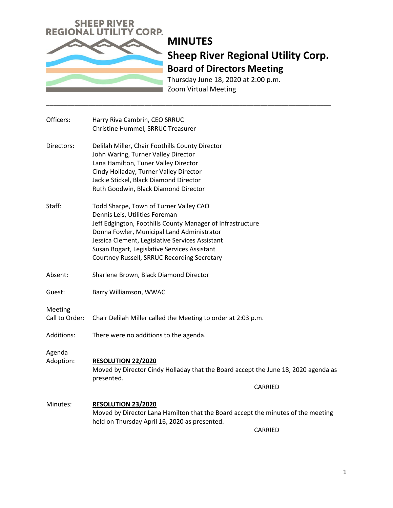

# **MINUTES Sheep River Regional Utility Corp. Board of Directors Meeting**

Thursday June 18, 2020 at 2:00 p.m. Zoom Virtual Meeting

\_\_\_\_\_\_\_\_\_\_\_\_\_\_\_\_\_\_\_\_\_\_\_\_\_\_\_\_\_\_\_\_\_\_\_\_\_\_\_\_\_\_\_\_\_\_\_\_\_\_\_\_\_\_\_\_\_\_\_\_\_\_\_\_\_\_\_\_\_\_\_\_\_\_\_\_\_\_\_\_\_

| Officers:                 | Harry Riva Cambrin, CEO SRRUC<br>Christine Hummel, SRRUC Treasurer                                                                                                                                                                                                                                                                     |
|---------------------------|----------------------------------------------------------------------------------------------------------------------------------------------------------------------------------------------------------------------------------------------------------------------------------------------------------------------------------------|
| Directors:                | Delilah Miller, Chair Foothills County Director<br>John Waring, Turner Valley Director<br>Lana Hamilton, Tuner Valley Director<br>Cindy Holladay, Turner Valley Director<br>Jackie Stickel, Black Diamond Director<br>Ruth Goodwin, Black Diamond Director                                                                             |
| Staff:                    | Todd Sharpe, Town of Turner Valley CAO<br>Dennis Leis, Utilities Foreman<br>Jeff Edgington, Foothills County Manager of Infrastructure<br>Donna Fowler, Municipal Land Administrator<br>Jessica Clement, Legislative Services Assistant<br>Susan Bogart, Legislative Services Assistant<br>Courtney Russell, SRRUC Recording Secretary |
| Absent:                   | Sharlene Brown, Black Diamond Director                                                                                                                                                                                                                                                                                                 |
| Guest:                    | Barry Williamson, WWAC                                                                                                                                                                                                                                                                                                                 |
| Meeting<br>Call to Order: | Chair Delilah Miller called the Meeting to order at 2:03 p.m.                                                                                                                                                                                                                                                                          |
| Additions:                | There were no additions to the agenda.                                                                                                                                                                                                                                                                                                 |
| Agenda<br>Adoption:       | <b>RESOLUTION 22/2020</b><br>Moved by Director Cindy Holladay that the Board accept the June 18, 2020 agenda as<br>presented.<br><b>CARRIED</b>                                                                                                                                                                                        |
| Minutes:                  | <b>RESOLUTION 23/2020</b><br>Moved by Director Lana Hamilton that the Board accept the minutes of the meeting<br>held on Thursday April 16, 2020 as presented.<br><b>CARRIED</b>                                                                                                                                                       |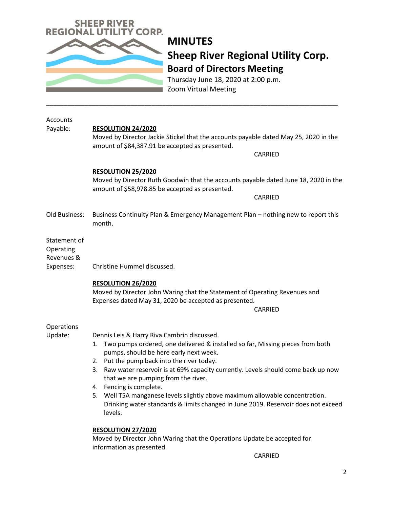

## **MINUTES Sheep River Regional Utility Corp. Board of Directors Meeting**

Thursday June 18, 2020 at 2:00 p.m. Zoom Virtual Meeting

\_\_\_\_\_\_\_\_\_\_\_\_\_\_\_\_\_\_\_\_\_\_\_\_\_\_\_\_\_\_\_\_\_\_\_\_\_\_\_\_\_\_\_\_\_\_\_\_\_\_\_\_\_\_\_\_\_\_\_\_\_\_\_\_\_\_\_\_\_\_\_\_\_\_\_\_\_\_\_\_\_\_\_

| Accounts<br>Payable:                                 | <b>RESOLUTION 24/2020</b><br>Moved by Director Jackie Stickel that the accounts payable dated May 25, 2020 in the<br>amount of \$84,387.91 be accepted as presented.<br>CARRIED                                                                                                                                                                                                                                                                                                                                                                                                                                                                                                 |
|------------------------------------------------------|---------------------------------------------------------------------------------------------------------------------------------------------------------------------------------------------------------------------------------------------------------------------------------------------------------------------------------------------------------------------------------------------------------------------------------------------------------------------------------------------------------------------------------------------------------------------------------------------------------------------------------------------------------------------------------|
|                                                      | <b>RESOLUTION 25/2020</b><br>Moved by Director Ruth Goodwin that the accounts payable dated June 18, 2020 in the<br>amount of \$58,978.85 be accepted as presented.<br>CARRIED                                                                                                                                                                                                                                                                                                                                                                                                                                                                                                  |
| Old Business:                                        | Business Continuity Plan & Emergency Management Plan - nothing new to report this<br>month.                                                                                                                                                                                                                                                                                                                                                                                                                                                                                                                                                                                     |
| Statement of<br>Operating<br>Revenues &<br>Expenses: | Christine Hummel discussed.<br>RESOLUTION 26/2020<br>Moved by Director John Waring that the Statement of Operating Revenues and<br>Expenses dated May 31, 2020 be accepted as presented.<br>CARRIED                                                                                                                                                                                                                                                                                                                                                                                                                                                                             |
| Operations<br>Update:                                | Dennis Leis & Harry Riva Cambrin discussed.<br>Two pumps ordered, one delivered & installed so far, Missing pieces from both<br>1.<br>pumps, should be here early next week.<br>2. Put the pump back into the river today.<br>3. Raw water reservoir is at 69% capacity currently. Levels should come back up now<br>that we are pumping from the river.<br>4. Fencing is complete.<br>Well T5A manganese levels slightly above maximum allowable concentration.<br>5.<br>Drinking water standards & limits changed in June 2019. Reservoir does not exceed<br>levels.<br><b>RESOLUTION 27/2020</b><br>Moved by Director John Waring that the Operations Update be accepted for |
|                                                      | information as presented.                                                                                                                                                                                                                                                                                                                                                                                                                                                                                                                                                                                                                                                       |

CARRIED